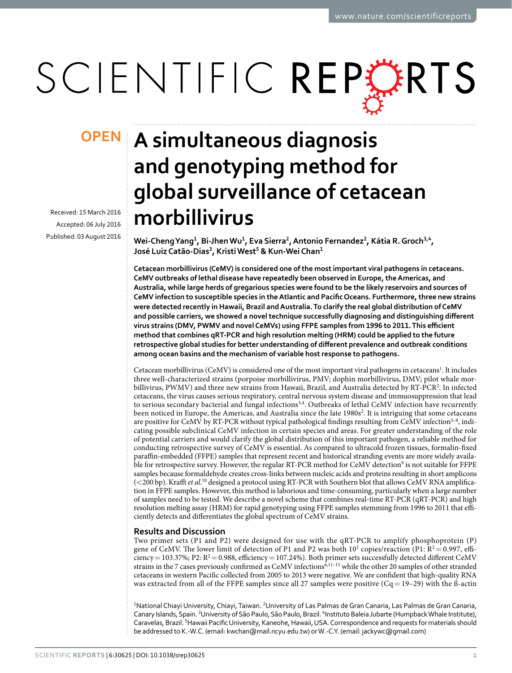# SCIENTIFIC REPERTS

Received: 15 March 2016 accepted: 06 July 2016 Published: 03 August 2016

## **A simultaneous diagnosis OPENand genotyping method for global surveillance of cetacean morbillivirus**

**Wei-ChengYang<sup>1</sup>, Bi-JhenWu<sup>1</sup>, Eva Sierra<sup>2</sup>, Antonio Fernandez<sup>2</sup>, Kátia R.Groch<sup>3</sup>,<sup>4</sup>, José LuizCatão-Dias<sup>3</sup>, KristiWest<sup>5</sup> & Kun-Wei Chan<sup>1</sup>**

**Cetacean morbillivirus (CeMV) is considered one of the most important viral pathogens in cetaceans. CeMV outbreaks of lethal disease have repeatedly been observed in Europe, the Americas, and Australia, while large herds of gregarious species were found to be the likely reservoirs and sources of CeMV infection to susceptible species in the Atlantic and Pacific Oceans. Furthermore, three new strains were detected recently in Hawaii, Brazil and Australia. To clarify the real global distribution of CeMV and possible carriers, we showed a novel technique successfully diagnosing and distinguishing different virus strains (DMV, PWMV and novel CeMVs) using FFPE samples from 1996 to 2011. This efficient method that combines qRT-PCR and high resolution melting (HRM) could be applied to the future retrospective global studies for better understanding of different prevalence and outbreak conditions among ocean basins and the mechanism of variable host response to pathogens.**

Cetacean morbillivirus (CeMV) is considered one of the most important viral pathogens in cetaceans<sup>1</sup>. It includes three well-characterized strains (porpoise morbillivirus, PMV; dophin morbillivirus, DMV; pilot whale mor-billivirus, PWMV) and three new strains from Hawaii, Brazil, and Australia detected by RT-PCR<sup>[2](#page-3-1)</sup>. In infected cetaceans, the virus causes serious respiratory, central nervous system disease and immuosuppression that lead to serious secondary bacterial and fungal infections<sup>[3,](#page-3-2)[4](#page-3-3)</sup>. Outbreaks of lethal CeMV infection have recurrently been noticed in Europe, the Americas, and Australia since the late 1980s<sup>[2](#page-3-1)</sup>. It is intriguing that some cetaceans are positive for CeMV by RT-PCR without typical pathological findings resulting from CeMV infection<sup>5-8</sup>, indicating possible subclinical CeMV infection in certain species and areas. For greater understanding of the role of potential carriers and would clarify the global distribution of this important pathogen, a reliable method for conducting retrospective survey of CeMV is essential. As compared to ultracold frozen tissues, formalin-fixed paraffin-embedded (FFPE) samples that represent recent and historical stranding events are more widely availa-ble for retrospective survey. However, the regular RT-PCR method for CeMV detection<sup>[9](#page-3-5)</sup> is not suitable for FFPE samples because formaldehyde creates cross-links between nucleic acids and proteins resulting in short amplicons (<200 bp). Krafft *et al*. [10](#page-3-6) designed a protocol using RT-PCR with Southern blot that allows CeMV RNA amplification in FFPE samples. However, this method is laborious and time-consuming, particularly when a large number of samples need to be tested. We describe a novel scheme that combines real-time RT-PCR (qRT-PCR) and high resolution melting assay (HRM) for rapid genotyping using FFPE samples stemming from 1996 to 2011 that efficiently detects and differentiates the global spectrum of CeMV strains.

### **Results and Discussion**

Two primer sets (P1 and P2) were designed for use with the qRT-PCR to amplify phosphoprotein (P) gene of CeMV. The lower limit of detection of P1 and P2 was both  $10^1$  copies/reaction (P1:  $R^2 = 0.997$ , efficiency = 103.37%; P2:  $R^2$  = 0.988, efficiency = 107.24%). Both primer sets successfully detected different CeMV strains in the 7 cases previously confirmed as CeMV infections<sup>6,11-15</sup> while the other 20 samples of other stranded cetaceans in western Pacific collected from 2005 to 2013 were negative. We are confident that high-quality RNA was extracted from all of the FFPE samples since all 27 samples were positive  $(Cq = 19-29)$  with the ß-actin

<sup>1</sup>National Chiayi University, Chiayi, Taiwan. <sup>2</sup>University of Las Palmas de Gran Canaria, Las Palmas de Gran Canaria, Canary Islands, Spain. <sup>3</sup>University of São Paulo, São Paulo, Brazil. <sup>4</sup>Instituto Baleia Jubarte (Humpback Whale Institute), Caravelas, Brazil. <sup>5</sup>Hawaii Pacific University, Kaneohe, Hawaii, USA. Correspondence and requests for materials should be addressed to K.-W.C. (email: [kwchan@mail.ncyu.edu.tw](mailto:kwchan@mail.ncyu.edu.tw)) or W.-C.Y. (email: [jackywc@gmail.com](kwchan@mail.ncyu.edu.tw))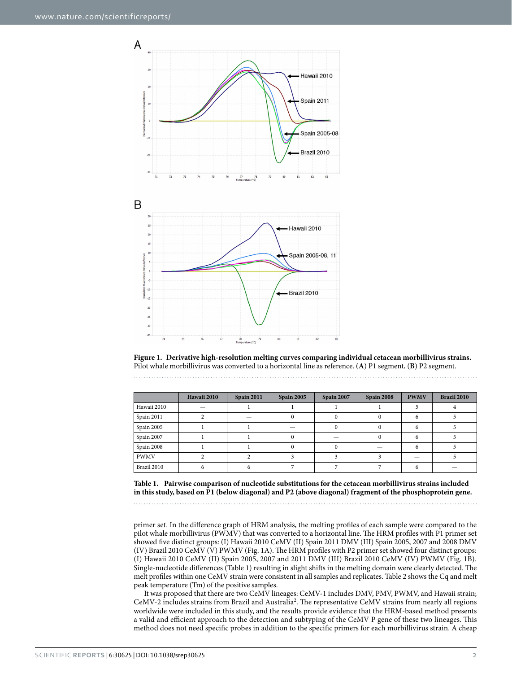

<span id="page-1-0"></span>**Figure 1. Derivative high-resolution melting curves comparing individual cetacean morbillivirus strains.**  Pilot whale morbillivirus was converted to a horizontal line as reference. (**A**) P1 segment, (**B**) P2 segment.

<span id="page-1-1"></span>

|             | Hawaii 2010 | <b>Spain 2011</b> | Spain 2005 | Spain 2007 | <b>Spain 2008</b> | <b>PWMV</b> | Brazil 2010 |
|-------------|-------------|-------------------|------------|------------|-------------------|-------------|-------------|
| Hawaii 2010 |             |                   |            |            |                   |             |             |
| Spain 2011  |             |                   |            |            |                   |             |             |
| Spain 2005  |             |                   |            |            |                   |             |             |
| Spain 2007  |             |                   |            |            |                   | ь           |             |
| Spain 2008  |             |                   |            |            |                   |             |             |
| <b>PWMV</b> |             |                   |            |            |                   |             |             |
| Brazil 2010 |             |                   |            |            |                   |             |             |

**Table 1. Pairwise comparison of nucleotide substitutions for the cetacean morbillivirus strains included in this study, based on P1 (below diagonal) and P2 (above diagonal) fragment of the phosphoprotein gene.**

primer set. In the difference graph of HRM analysis, the melting profiles of each sample were compared to the pilot whale morbillivirus (PWMV) that was converted to a horizontal line. The HRM profiles with P1 primer set showed five distinct groups: (I) Hawaii 2010 CeMV (II) Spain 2011 DMV (III) Spain 2005, 2007 and 2008 DMV (IV) Brazil 2010 CeMV (V) PWMV ([Fig. 1A\)](#page-1-0). The HRM profiles with P2 primer set showed four distinct groups: (I) Hawaii 2010 CeMV (II) Spain 2005, 2007 and 2011 DMV (III) Brazil 2010 CeMV (IV) PWMV [\(Fig. 1B](#page-1-0)). Single-nucleotide differences [\(Table 1\)](#page-1-1) resulting in slight shifts in the melting domain were clearly detected. The melt profiles within one CeMV strain were consistent in all samples and replicates. [Table 2](#page-2-0) shows the Cq and melt peak temperature (Tm) of the positive samples.

It was proposed that there are two CeMV lineages: CeMV-1 includes DMV, PMV, PWMV, and Hawaii strain; CeMV-[2](#page-3-1) includes strains from Brazil and Australia<sup>2</sup>. The representative CeMV strains from nearly all regions worldwide were included in this study, and the results provide evidence that the HRM-based method presents a valid and efficient approach to the detection and subtyping of the CeMV P gene of these two lineages. This method does not need specific probes in addition to the specific primers for each morbillivirus strain. A cheap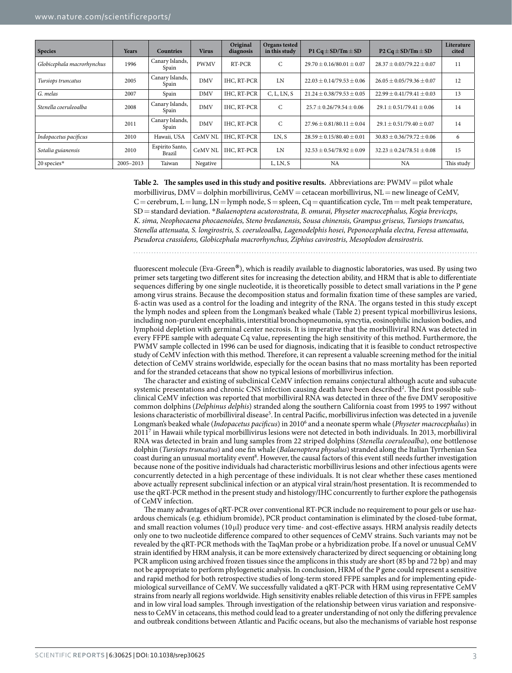<span id="page-2-0"></span>

| <b>Species</b>             | <b>Years</b> | <b>Countries</b>          | <b>Virus</b>       | Original<br>diagnosis | Organs tested<br>in this study | P1 Cq $\pm$ SD/Tm $\pm$ SD      | P2 Cq $\pm$ SD/Tm $\pm$ SD      | Literature<br>cited |
|----------------------------|--------------|---------------------------|--------------------|-----------------------|--------------------------------|---------------------------------|---------------------------------|---------------------|
| Globicephala macrorhynchus | 1996         | Canary Islands,<br>Spain  | <b>PWMV</b>        | RT-PCR                | $\mathcal{C}$                  | $29.70 \pm 0.16/80.01 \pm 0.07$ | $28.37 \pm 0.03/79.22 \pm 0.07$ | 11                  |
| Tursiops truncatus         | 2005         | Canary Islands,<br>Spain  | <b>DMV</b>         | IHC, RT-PCR           | LN                             | $22.03 \pm 0.14/79.53 \pm 0.06$ | $26.05 \pm 0.05/79.36 \pm 0.07$ | 12                  |
| G. melas                   | 2007         | Spain                     | <b>DMV</b>         | <b>IHC, RT-PCR</b>    | C, L, LN, S                    | $21.24 \pm 0.38/79.53 \pm 0.05$ | $22.99 \pm 0.41/79.41 \pm 0.03$ | 13                  |
| Stenella coeruleoalba      | 2008         | Canary Islands,<br>Spain  | <b>DMV</b>         | <b>IHC, RT-PCR</b>    | C                              | $25.7 \pm 0.26/79.54 \pm 0.06$  | $29.1 \pm 0.51/79.41 \pm 0.06$  | 14                  |
|                            | 2011         | Canary Islands,<br>Spain  | <b>DMV</b>         | IHC, RT-PCR           | $\mathsf{C}$                   | $27.96 \pm 0.81/80.11 \pm 0.04$ | $29.1 \pm 0.51/79.40 \pm 0.07$  | 14                  |
| Indopacetus pacificus      | 2010         | Hawaii, USA               | CeMV <sub>NL</sub> | IHC, RT-PCR           | LN, S                          | $28.59 \pm 0.15/80.40 \pm 0.01$ | $30.83 \pm 0.36/79.72 \pm 0.06$ | 6                   |
| Sotalia guianensis         | 2010         | Espirito Santo,<br>Brazil | CeMV NL            | <b>IHC, RT-PCR</b>    | <b>IN</b>                      | $32.53 \pm 0.54/78.92 \pm 0.09$ | $32.23 \pm 0.24/78.51 \pm 0.08$ | 15                  |
| 20 species*                | 2005-2013    | Taiwan                    | Negative           |                       | L, LN, S                       | NA                              | NA                              | This study          |

**Table 2.** The samples used in this study and positive results. Abbreviations are:  $PWMV = pilot$  whale morbillivirus,  $DMV =$ dolphin morbillivirus, CeMV  $=$  cetacean morbillivirus, NL  $=$  new lineage of CeMV,  $C =$ cerebrum,  $L =$ lung,  $LN =$ lymph node,  $S =$ spleen,  $Cq =$ quantification cycle, Tm = melt peak temperature, SD=standard deviation. \**Balaenoptera acutorostrata, B. omurai, Physeter macrocephalus, Kogia breviceps, K. sima, Neophocaena phocaenoides, Steno bredanensis, Sousa chinensis, Grampus griseus, Tursiops truncatus, Stenella attenuata, S. longirostris, S. coeruleoalba, Lagenodelphis hosei, Peponocephala electra, Feresa attenuata, Pseudorca crassidens, Globicephala macrorhynchus, Ziphius cavirostris, Mesoplodon densirostris.*

fluorescent molecule (Eva-Green®), which is readily available to diagnostic laboratories, was used. By using two primer sets targeting two different sites for increasing the detection ability, and HRM that is able to differentiate sequences differing by one single nucleotide, it is theoretically possible to detect small variations in the P gene among virus strains. Because the decomposition status and formalin fixation time of these samples are varied, ß-actin was used as a control for the loading and integrity of the RNA. The organs tested in this study except the lymph nodes and spleen from the Longman's beaked whale [\(Table 2](#page-2-0)) present typical morbillivirus lesions, including non-purulent encephalitis, interstitial bronchopneumonia, syncytia, eosinophilic inclusion bodies, and lymphoid depletion with germinal center necrosis. It is imperative that the morbilliviral RNA was detected in every FFPE sample with adequate Cq value, representing the high sensitivity of this method. Furthermore, the PWMV sample collected in 1996 can be used for diagnosis, indicating that it is feasible to conduct retrospective study of CeMV infection with this method. Therefore, it can represent a valuable screening method for the initial detection of CeMV strains worldwide, especially for the ocean basins that no mass mortality has been reported and for the stranded cetaceans that show no typical lesions of morbillivirus infection.

The character and existing of subclinical CeMV infection remains conjectural although acute and subacute systemic presentations and chronic CNS infection causing death have been described<sup>2</sup>. The first possible subclinical CeMV infection was reported that morbilliviral RNA was detected in three of the five DMV seropositive common dolphins (*Delphinus delphis*) stranded along the southern California coast from 1995 to 1997 without lesions characteristic of morbilliviral disease<sup>5</sup>. In central Pacific, morbillivirus infection was detected in a juvenile Longman's beaked whale (*Indopacetus pacificus*) in 2010[6](#page-3-7) and a neonate sperm whale (*Physeter macrocephalus*) in 201[17](#page-3-9) in Hawaii while typical morbillivirus lesions were not detected in both individuals. In 2013, morbilliviral RNA was detected in brain and lung samples from 22 striped dolphins (*Stenella coeruleoalba*), one bottlenose dolphin (*Tursiops truncatus*) and one fin whale (*Balaenoptera physalus*) stranded along the Italian Tyrrhenian Sea coast during an unusual mortality event<sup>8</sup>. However, the causal factors of this event still needs further investigation because none of the positive individuals had characteristic morbillivirus lesions and other infectious agents were concurrently detected in a high percentage of these individuals. It is not clear whether these cases mentioned above actually represent subclinical infection or an atypical viral strain/host presentation. It is recommended to use the qRT-PCR method in the present study and histology/IHC concurrently to further explore the pathogensis of CeMV infection.

The many advantages of qRT-PCR over conventional RT-PCR include no requirement to pour gels or use hazardous chemicals (e.g. ethidium bromide), PCR product contamination is eliminated by the closed-tube format, and small reaction volumes (10 μl) produce very time- and cost-effective assays. HRM analysis readily detects only one to two nucleotide difference compared to other sequences of CeMV strains. Such variants may not be revealed by the qRT-PCR methods with the TaqMan probe or a hybridization probe. If a novel or unusual CeMV strain identified by HRM analysis, it can be more extensively characterized by direct sequencing or obtaining long PCR amplicon using archived frozen tissues since the amplicons in this study are short (85 bp and 72 bp) and may not be appropriate to perform phylogenetic analysis. In conclusion, HRM of the P gene could represent a sensitive and rapid method for both retrospective studies of long-term stored FFPE samples and for implementing epidemiological surveillance of CeMV. We successfully validated a qRT-PCR with HRM using representative CeMV strains from nearly all regions worldwide. High sensitivity enables reliable detection of this virus in FFPE samples and in low viral load samples. Through investigation of the relationship between virus variation and responsiveness to CeMV in cetaceans, this method could lead to a greater understanding of not only the differing prevalence and outbreak conditions between Atlantic and Pacific oceans, but also the mechanisms of variable host response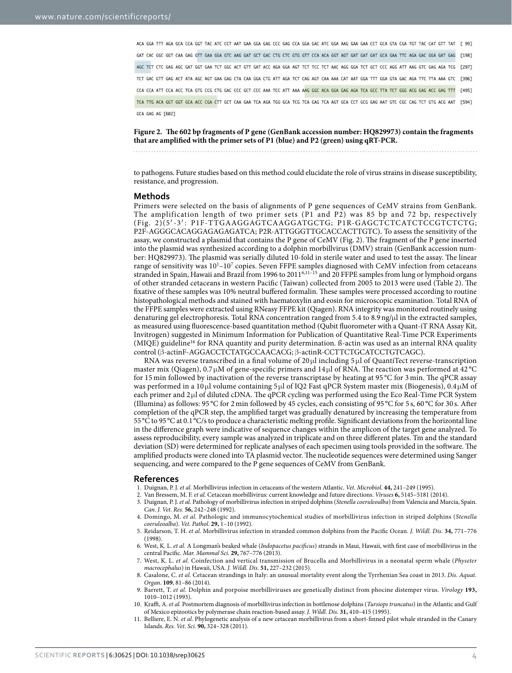ACA GGA TTT AGA GCA CCA GGT TAC ATC CCT AAT GAA GGA GAG CCC GAG CCA GGA GAC ATC GGA AAG GAA GAA CCT GCA GTA CGA TGT TAC CAT GTT TAT [ 99] GAT CAC GGC GGT CAA GAG GTT GAA GGA GTC AAG GAT GCT GAC CTG CTC GTG GTT CCA ACA GGT AGT GAT GAT GAT GAA TTC AGA GAC GGA GAT GAG [198] AGC TCT CTC GAG AGC GAT GGT GAA TCT GGC ACT GTT GAT ACC AGA GGA AGT TCT TCC TCT AAC AGG GGA TCT GCT CCC AGG ATT AAG GTC GAG AGA TCG [297] TCT GAC GTT GAG ACT ATA AGC AGT GAA GAG CTA CAA GGA CTG ATT AGA TCT CAG AGT CAA AAA CAT AAT GGA TTT GGA GTA GAC AGA TTC TTA AAA GTC [396] CCA CCA ATT CCA ACC TCA GTG CCG CTG GAC CCC GCT CCC AAA TCC ATT AAA AAG GGC ACA GGA GAG AGA TCA GCC TTA TCT GGG ACG GAG ACC GAG TTT [495] TCA TTG ACA GGT GGT GCA ACC CGA CTT GCT CAA GAA TCA AGA TGG GCA TCG TCA GAG TCA AGT GCA CCT GCG GAG AAT GTC CGC CAG TCT GTG ACG AAT [594] GCA GAG AG F6021

<span id="page-3-11"></span>**Figure 2. The 602 bp fragments of P gene (GenBank accession number: HQ829973) contain the fragments that are amplified with the primer sets of P1 (blue) and P2 (green) using qRT-PCR.** 

to pathogens. Future studies based on this method could elucidate the role of virus strains in disease susceptibility, resistance, and progression.

#### **Methods**

Primers were selected on the basis of alignments of P gene sequences of CeMV strains from GenBank. The amplification length of two primer sets (P1 and P2) was 85 bp and 72 bp, respectively ([Fig. 2](#page-3-11))(5′-3′ : P1F-TTGAAGGAGTCAAGGATGCTG; P1R-GAGCTCTCATCTCCGTCTCTG; P2F-AGGGCACAGGAGAGAGATCA; P2R-ATTGGGTTGCACCACTTGTC). To assess the sensitivity of the assay, we constructed a plasmid that contains the P gene of CeMV ([Fig. 2\)](#page-3-11). The fragment of the P gene inserted into the plasmid was synthesized according to a dolphin morbillvirus (DMV) strain (GenBank accession number: HQ829973). The plasmid was serially diluted 10-fold in sterile water and used to test the assay. The linear range of sensitivity was  $10^{1}-10^{7}$  copies. Seven FFPE samples diagnosed with CeMV infection from cetaceans stranded in Spain, Hawaii and Brazil from 1996 to 2011[6,](#page-3-7)[11–15](#page-3-8) and 20 FFPE samples from lung or lymphoid organs of other stranded cetaceans in western Pacific (Taiwan) collected from 2005 to 2013 were used [\(Table 2\)](#page-2-0). The fixative of these samples was 10% neutral buffered formalin. These samples were processed according to routine histopathological methods and stained with haematoxylin and eosin for microscopic examination. Total RNA of the FFPE samples were extracted using RNeasy FFPE kit (Qiagen). RNA integrity was monitored routinely using denaturing gel electrophoresis. Total RNA concentration ranged from 5.4 to 8.9 ng/μl in the extracted samples, as measured using fluorescence-based quantitation method (Qubit fluorometer with a Quant-iT RNA Assay Kit, Invitrogen) suggested in Minimum Information for Publication of Quantitative Real-Time PCR Experiments (MIQE) guideline<sup>16</sup> for RNA quantity and purity determination. ß-actin was used as an internal RNA quality control (β-actinF-AGGACCTCTATGCCAACACG; β-actinR-CCTTCTGCATCCTGTCAGC).

RNA was reverse transcribed in a final volume of 20 μl including 5 μl of QuantiTect reverse-transcription master mix (Qiagen), 0.7 μM of gene-specific primers and 14 μl of RNA. The reaction was performed at 42 °C for 15 min followed by inactivation of the reverse transcriptase by heating at 95 °C for 3 min. The qPCR assay was performed in a 10 μl volume containing 5 μl of IQ2 Fast qPCR System master mix (Biogenesis), 0.4 μM of each primer and 2 μl of diluted cDNA. The qPCR cycling was performed using the Eco Real-Time PCR System (Illumina) as follows: 95 °C for 2min followed by 45 cycles, each consisting of 95 °C for 5 s, 60 °C for 30 s. After completion of the qPCR step, the amplified target was gradually denatured by increasing the temperature from 55°C to 95°C at 0.1°C/s to produce a characteristic melting profile. Significant deviations from the horizontal line in the difference graph were indicative of sequence changes within the amplicon of the target gene analyzed. To assess reproducibility, every sample was analyzed in triplicate and on three different plates. Tm and the standard deviation (SD) were determined for replicate analyses of each specimen using tools provided in the software. The amplified products were cloned into TA plasmid vector. The nucleotide sequences were determined using Sanger sequencing, and were compared to the P gene sequences of CeMV from GenBank.

#### **References**

- <span id="page-3-0"></span>1. Duignan, P. J. *et al.* Morbillivirus infection in cetaceans of the western Atlantic. *Vet. Microbiol.* **44,** 241–249 (1995).
- <span id="page-3-1"></span>2. Van Bressem, M. F. *et al.* Cetacean morbillivirus: current knowledge and future directions. *Viruses* **6,** 5145–5181 (2014).
- <span id="page-3-2"></span>3. Duignan, P. J. *et al.* Pathology of morbillivirus infection in striped dolphins (*Stenella coeruleoalba*) from Valencia and Murcia, Spain. *Can. J. Vet. Res.* **56,** 242–248 (1992).
- <span id="page-3-3"></span>4. Domingo, M. *et al.* Pathologic and immunocytochemical studies of morbillivirus infection in striped dolphins (*Stenella coeruleoalba*). *Vet. Pathol.* **29,** 1–10 (1992).
- <span id="page-3-4"></span>5. Reidarson, T. H. *et al.* Morbillivirus infection in stranded common dolphins from the Pacific Ocean. *J. Wildl. Dis.* **34,** 771–776 (1998).
- <span id="page-3-7"></span>6. West, K. L. *et al.* A Longman's beaked whale (*Indopacetus pacificus*) strands in Maui, Hawaii, with first case of morbillivirus in the central Pacific. *Mar. Mammal Sci.* **29,** 767–776 (2013).
- <span id="page-3-9"></span>7. West, K. L. *et al.* Coinfection and vertical transmission of Brucella and Morbillivirus in a neonatal sperm whale (*Physeter macrocephalus*) in Hawaii, USA. *J. Wildl. Dis.* **51,** 227–232 (2015).
- <span id="page-3-10"></span>8. Casalone, C. *et al.* Cetacean strandings in Italy: an unusual mortality event along the Tyrrhenian Sea coast in 2013. *Dis. Aquat. Organ.* **109**, 81–86 (2014).
- <span id="page-3-5"></span>9. Barrett, T. *et al.* Dolphin and porpoise morbilliviruses are genetically distinct from phocine distemper virus. *Virology* **193,** 1010–1012 (1993).
- <span id="page-3-6"></span>10. Krafft, A. *et al.* Postmortem diagnosis of morbillivirus infection in bottlenose dolphins (*Tursiops truncatus*) in the Atlantic and Gulf of Mexico epizootics by polymerase chain reaction-based assay. *J. Wildl. Dis.* **31,** 410–415 (1995).
- <span id="page-3-8"></span>11. Belliere, E. N. *et al.* Phylogenetic analysis of a new cetacean morbillivirus from a short-finned pilot whale stranded in the Canary Islands. *Res. Vet. Sci.* **90,** 324–328 (2011).